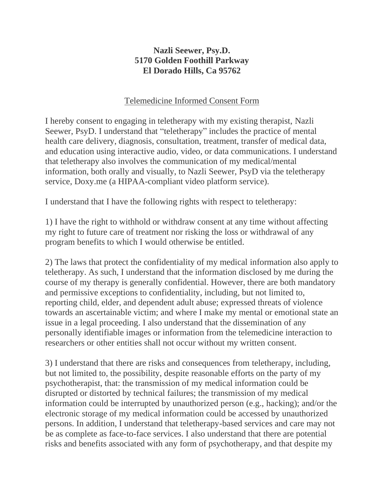## **Nazli Seewer, Psy.D. 5170 Golden Foothill Parkway El Dorado Hills, Ca 95762**

## Telemedicine Informed Consent Form

I hereby consent to engaging in teletherapy with my existing therapist, Nazli Seewer, PsyD. I understand that "teletherapy" includes the practice of mental health care delivery, diagnosis, consultation, treatment, transfer of medical data, and education using interactive audio, video, or data communications. I understand that teletherapy also involves the communication of my medical/mental information, both orally and visually, to Nazli Seewer, PsyD via the teletherapy service, Doxy.me (a HIPAA-compliant video platform service).

I understand that I have the following rights with respect to teletherapy:

1) I have the right to withhold or withdraw consent at any time without affecting my right to future care of treatment nor risking the loss or withdrawal of any program benefits to which I would otherwise be entitled.

2) The laws that protect the confidentiality of my medical information also apply to teletherapy. As such, I understand that the information disclosed by me during the course of my therapy is generally confidential. However, there are both mandatory and permissive exceptions to confidentiality, including, but not limited to, reporting child, elder, and dependent adult abuse; expressed threats of violence towards an ascertainable victim; and where I make my mental or emotional state an issue in a legal proceeding. I also understand that the dissemination of any personally identifiable images or information from the telemedicine interaction to researchers or other entities shall not occur without my written consent.

3) I understand that there are risks and consequences from teletherapy, including, but not limited to, the possibility, despite reasonable efforts on the party of my psychotherapist, that: the transmission of my medical information could be disrupted or distorted by technical failures; the transmission of my medical information could be interrupted by unauthorized person (e.g., hacking); and/or the electronic storage of my medical information could be accessed by unauthorized persons. In addition, I understand that teletherapy-based services and care may not be as complete as face-to-face services. I also understand that there are potential risks and benefits associated with any form of psychotherapy, and that despite my